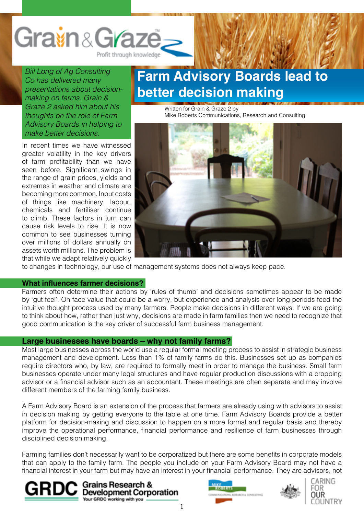

*Bill Long of Ag Consulting Co has delivered many presentations about decisionmaking on farms. Grain & Graze 2 asked him about his thoughts on the role of Farm Advisory Boards in helping to make better decisions.*

In recent times we have witnessed greater volatility in the key drivers of farm profitability than we have seen before. Significant swings in the range of grain prices, yields and extremes in weather and climate are becoming more common. Input costs of things like machinery, labour, chemicals and fertiliser continue to climb. These factors in turn can cause risk levels to rise. It is now common to see businesses turning over millions of dollars annually on assets worth millions. The problem is that while we adapt relatively quickly

## **Farm Advisory Boards lead to better decision making**

Written for Grain & Graze 2 by Mike Roberts Communications, Research and Consulting



to changes in technology, our use of management systems does not always keep pace.

#### **What influences farmer decisions?**

Farmers often determine their actions by 'rules of thumb' and decisions sometimes appear to be made by 'gut feel'. On face value that could be a worry, but experience and analysis over long periods feed the intuitive thought process used by many farmers. People make decisions in different ways. If we are going to think about how, rather than just why, decisions are made in farm families then we need to recognize that good communication is the key driver of successful farm business management.

### **Large businesses have boards – why not family farms?**

Most large businesses across the world use a regular formal meeting process to assist in strategic business management and development. Less than 1% of family farms do this. Businesses set up as companies require directors who, by law, are required to formally meet in order to manage the business. Small farm businesses operate under many legal structures and have regular production discussions with a cropping advisor or a financial advisor such as an accountant. These meetings are often separate and may involve different members of the farming family business.

A Farm Advisory Board is an extension of the process that farmers are already using with advisors to assist in decision making by getting everyone to the table at one time. Farm Advisory Boards provide a better platform for decision-making and discussion to happen on a more formal and regular basis and thereby improve the operational performance, financial performance and resilience of farm businesses through disciplined decision making.

Farming families don't necessarily want to be corporatized but there are some benefits in corporate models that can apply to the family farm. The people you include on your Farm Advisory Board may not have a financial interest in your farm but may have an interest in your financial performance. They are advisors, not









1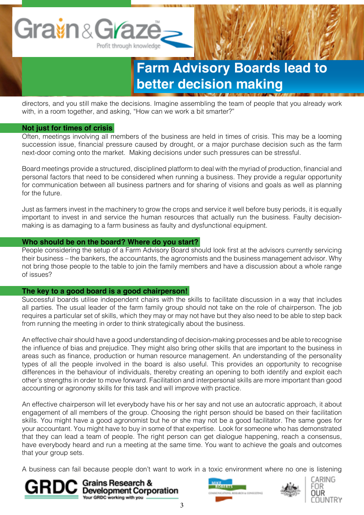directors, and you still make the decisions. Imagine assembling the team of people that you already work with, in a room together, and asking, "How can we work a bit smarter?"

### **Not just for times of crisis**

Often, meetings involving all members of the business are held in times of crisis. This may be a looming succession issue, financial pressure caused by drought, or a major purchase decision such as the farm next-door coming onto the market. Making decisions under such pressures can be stressful.

Board meetings provide a structured, disciplined platform to deal with the myriad of production, financial and personal factors that need to be considered when running a business. They provide a regular opportunity for communication between all business partners and for sharing of visions and goals as well as planning for the future.

Just as farmers invest in the machinery to grow the crops and service it well before busy periods, it is equally important to invest in and service the human resources that actually run the business. Faulty decisionmaking is as damaging to a farm business as faulty and dysfunctional equipment.

### **Who should be on the board? Where do you start?**

People considering the setup of a Farm Advisory Board should look first at the advisors currently servicing their business – the bankers, the accountants, the agronomists and the business management advisor. Why not bring those people to the table to join the family members and have a discussion about a whole range of issues?

### **The key to a good board is a good chairperson!**

Successful boards utilise independent chairs with the skills to facilitate discussion in a way that includes all parties. The usual leader of the farm family group should not take on the role of chairperson. The job requires a particular set of skills, which they may or may not have but they also need to be able to step back from running the meeting in order to think strategically about the business.

An effective chair should have a good understanding of decision-making processes and be able to recognise the influence of bias and prejudice. They might also bring other skills that are important to the business in areas such as finance, production or human resource management. An understanding of the personality types of all the people involved in the board is also useful. This provides an opportunity to recognise differences in the behaviour of individuals, thereby creating an opening to both identify and exploit each other's strengths in order to move forward. Facilitation and interpersonal skills are more important than good accounting or agronomy skills for this task and will improve with practice.

An effective chairperson will let everybody have his or her say and not use an autocratic approach, it about engagement of all members of the group. Choosing the right person should be based on their facilitation skills. You might have a good agronomist but he or she may not be a good facilitator. The same goes for your accountant. You might have to buy in some of that expertise. Look for someone who has demonstrated that they can lead a team of people. The right person can get dialogue happening, reach a consensus, have everybody heard and run a meeting at the same time. You want to achieve the goals and outcomes that your group sets.

A business can fail because people don't want to work in a toxic environment where no one is listening







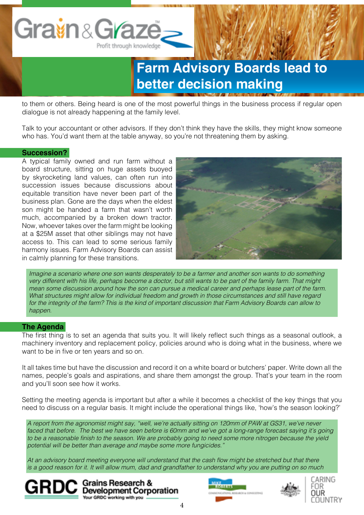

to them or others. Being heard is one of the most powerful things in the business process if regular open dialogue is not already happening at the family level.

Talk to your accountant or other advisors. If they don't think they have the skills, they might know someone who has. You'd want them at the table anyway, so you're not threatening them by asking.

### **Succession?**

A typical family owned and run farm without a board structure, sitting on huge assets buoyed by skyrocketing land values, can often run into succession issues because discussions about equitable transition have never been part of the business plan. Gone are the days when the eldest son might be handed a farm that wasn't worth much, accompanied by a broken down tractor. Now, whoever takes over the farm might be looking at a \$25M asset that other siblings may not have access to. This can lead to some serious family harmony issues. Farm Advisory Boards can assist in calmly planning for these transitions.



*Imagine a scenario where one son wants desperately to be a farmer and another son wants to do something very different with his life, perhaps become a doctor, but still wants to be part of the family farm. That might mean some discussion around how the son can pursue a medical career and perhaps lease part of the farm. What structures might allow for individual freedom and growth in those circumstances and still have regard for the integrity of the farm? This is the kind of important discussion that Farm Advisory Boards can allow to happen.*

### **The Agenda**

The first thing is to set an agenda that suits you. It will likely reflect such things as a seasonal outlook, a machinery inventory and replacement policy, policies around who is doing what in the business, where we want to be in five or ten years and so on.

It all takes time but have the discussion and record it on a white board or butchers' paper. Write down all the names, people's goals and aspirations, and share them amongst the group. That's your team in the room and you'll soon see how it works.

Setting the meeting agenda is important but after a while it becomes a checklist of the key things that you need to discuss on a regular basis. It might include the operational things like, 'how's the season looking?'

*A report from the agronomist might say, "well, we're actually sitting on 120mm of PAW at GS31, we've never*  faced that before. The best we have seen before is 60mm and we've got a long-range forecast saying it's going to be a reasonable finish to the season. We are probably going to need some more nitrogen because the yield *potential will be better than average and maybe some more fungicides."*

At an advisory board meeting everyone will understand that the cash flow might be stretched but that there *is a good reason for it. It will allow mum, dad and grandfather to understand why you are putting on so much* 







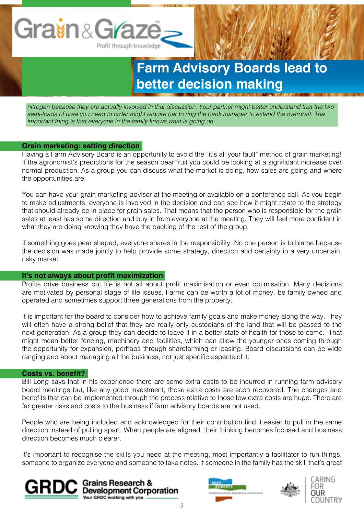

*nitrogen because they are actually involved in that discussion. Your partner might better understand that the two semi-loads of urea you need to order might require her to ring the bank manager to extend the overdraft. The important thing is that everyone in the family knows what is going on.* 

### **Grain marketing: setting direction**

Having a Farm Advisory Board is an opportunity to avoid the "it's all your fault" method of grain marketing! If the agronomist's predictions for the season bear fruit you could be looking at a significant increase over normal production. As a group you can discuss what the market is doing, how sales are going and where the opportunities are.

You can have your grain marketing advisor at the meeting or available on a conference call. As you begin to make adjustments, everyone is involved in the decision and can see how it might relate to the strategy that should already be in place for grain sales. That means that the person who is responsible for the grain sales at least has some direction and buy in from everyone at the meeting. They will feel more confident in what they are doing knowing they have the backing of the rest of the group.

If something goes pear shaped, everyone shares in the responsibility. No one person is to blame because the decision was made jointly to help provide some strategy, direction and certainty in a very uncertain, risky market.

#### **It's not always about profit maximization**

Profits drive business but life is not all about profit maximisation or even optimisation. Many decisions are motivated by personal stage of life issues. Farms can be worth a lot of money, be family owned and operated and sometimes support three generations from the property.

It is important for the board to consider how to achieve family goals and make money along the way. They will often have a strong belief that they are really only custodians of the land that will be passed to the next generation. As a group they can decide to leave it in a better state of health for those to come. That might mean better fencing, machinery and facilities, which can allow the younger ones coming through the opportunity for expansion, perhaps through sharefarming or leasing. Board discussions can be wide ranging and about managing all the business, not just specific aspects of it.

#### **Costs vs. benefit?**

Bill Long says that in his experience there are some extra costs to be incurred in running farm advisory board meetings but, like any good investment, those extra costs are soon recovered. The changes and benefits that can be implemented through the process relative to those few extra costs are huge. There are far greater risks and costs to the business if farm advisory boards are not used.

People who are being included and acknowledged for their contribution find it easier to pull in the same direction instead of pulling apart. When people are aligned, their thinking becomes focused and business direction becomes much clearer.

It's important to recognise the skills you need at the meeting, most importantly a facilitator to run things, someone to organize everyone and someone to take notes. If someone in the family has the skill that's great





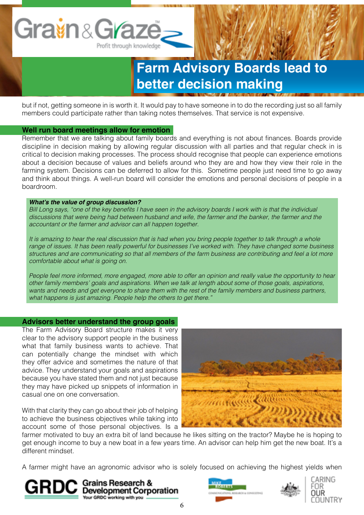but if not, getting someone in is worth it. It would pay to have someone in to do the recording just so all family members could participate rather than taking notes themselves. That service is not expensive.

### **Well run board meetings allow for emotion**

Remember that we are talking about family boards and everything is not about finances. Boards provide discipline in decision making by allowing regular discussion with all parties and that regular check in is critical to decision making processes. The process should recognise that people can experience emotions about a decision because of values and beliefs around who they are and how they view their role in the farming system. Decisions can be deferred to allow for this. Sometime people just need time to go away and think about things. A well-run board will consider the emotions and personal decisions of people in a boardroom.

### **What's the value of group discussion?**

Bill Long says, "one of the key benefits I have seen in the advisory boards I work with is that the individual *discussions that were being had between husband and wife, the farmer and the banker, the farmer and the accountant or the farmer and advisor can all happen together.* 

*It is amazing to hear the real discussion that is had when you bring people together to talk through a whole range of issues. It has been really powerful for businesses I've worked with. They have changed some business structures and are communicating so that all members of the farm business are contributing and feel a lot more comfortable about what is going on.* 

*People feel more informed, more engaged, more able to offer an opinion and really value the opportunity to hear other family members' goals and aspirations. When we talk at length about some of those goals, aspirations, wants and needs and get everyone to share them with the rest of the family members and business partners, what happens is just amazing. People help the others to get there."*

### **Advisors better understand the group goals**

The Farm Advisory Board structure makes it very clear to the advisory support people in the business what that family business wants to achieve. That can potentially change the mindset with which they offer advice and sometimes the nature of that advice. They understand your goals and aspirations because you have stated them and not just because they may have picked up snippets of information in casual one on one conversation.

With that clarity they can go about their job of helping to achieve the business objectives while taking into account some of those personal objectives. Is a



farmer motivated to buy an extra bit of land because he likes sitting on the tractor? Maybe he is hoping to get enough income to buy a new boat in a few years time. An advisor can help him get the new boat. It's a different mindset.

A farmer might have an agronomic advisor who is solely focused on achieving the highest yields when